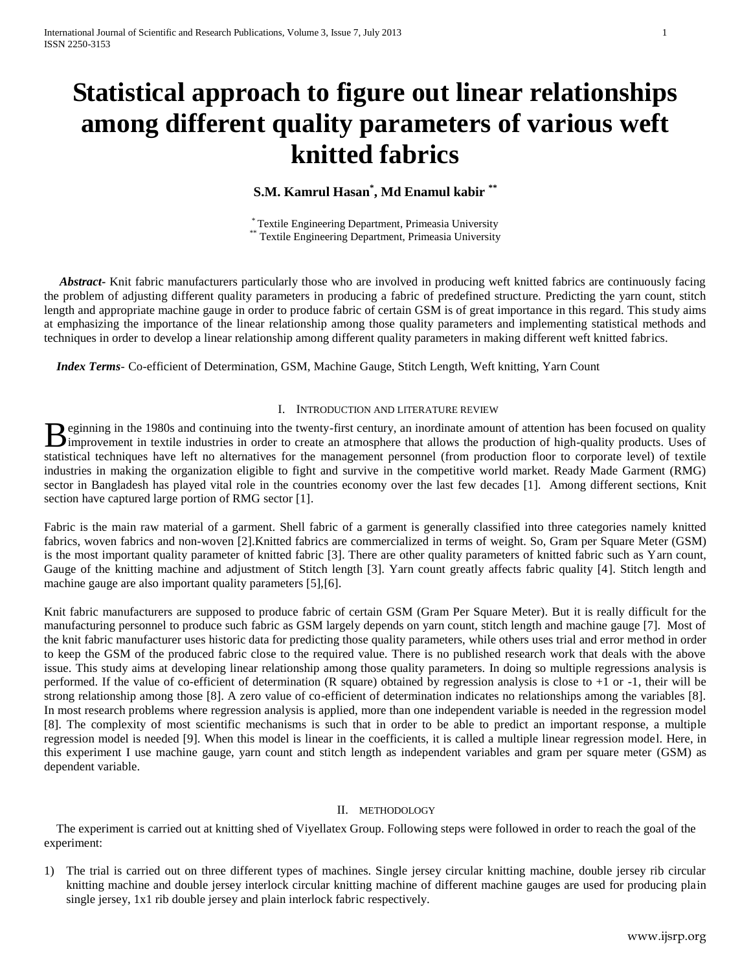# **Statistical approach to figure out linear relationships among different quality parameters of various weft knitted fabrics**

**S.M. Kamrul Hasan\* , Md Enamul kabir \*\***

\* Textile Engineering Department, Primeasia University \*\* Textile Engineering Department, Primeasia University

 *Abstract***-** Knit fabric manufacturers particularly those who are involved in producing weft knitted fabrics are continuously facing the problem of adjusting different quality parameters in producing a fabric of predefined structure. Predicting the yarn count, stitch length and appropriate machine gauge in order to produce fabric of certain GSM is of great importance in this regard. This study aims at emphasizing the importance of the linear relationship among those quality parameters and implementing statistical methods and techniques in order to develop a linear relationship among different quality parameters in making different weft knitted fabrics.

 *Index Terms*- Co-efficient of Determination, GSM, Machine Gauge, Stitch Length, Weft knitting, Yarn Count

# I. INTRODUCTION AND LITERATURE REVIEW

**Example 1980s** and continuing into the twenty-first century, an inordinate amount of attention has been focused on quality Beginning in the 1980s and continuing into the twenty-first century, an inordinate amount of attention has been focused on quality improvement in textile industries in order to create an atmosphere that allows the producti statistical techniques have left no alternatives for the management personnel (from production floor to corporate level) of textile industries in making the organization eligible to fight and survive in the competitive world market. Ready Made Garment (RMG) sector in Bangladesh has played vital role in the countries economy over the last few decades [1]. Among different sections, Knit section have captured large portion of RMG sector [1].

Fabric is the main raw material of a garment. Shell fabric of a garment is generally classified into three categories namely knitted fabrics, woven fabrics and non-woven [2].Knitted fabrics are commercialized in terms of weight. So, Gram per Square Meter (GSM) is the most important quality parameter of knitted fabric [3]. There are other quality parameters of knitted fabric such as Yarn count, Gauge of the knitting machine and adjustment of Stitch length [3]. Yarn count greatly affects fabric quality [4]. Stitch length and machine gauge are also important quality parameters [5],[6].

Knit fabric manufacturers are supposed to produce fabric of certain GSM (Gram Per Square Meter). But it is really difficult for the manufacturing personnel to produce such fabric as GSM largely depends on yarn count, stitch length and machine gauge [7]. Most of the knit fabric manufacturer uses historic data for predicting those quality parameters, while others uses trial and error method in order to keep the GSM of the produced fabric close to the required value. There is no published research work that deals with the above issue. This study aims at developing linear relationship among those quality parameters. In doing so multiple regressions analysis is performed. If the value of co-efficient of determination (R square) obtained by regression analysis is close to +1 or -1, their will be strong relationship among those [8]. A zero value of co-efficient of determination indicates no relationships among the variables [8]. In most research problems where regression analysis is applied, more than one independent variable is needed in the regression model [8]. The complexity of most scientific mechanisms is such that in order to be able to predict an important response, a multiple regression model is needed [9]. When this model is linear in the coefficients, it is called a multiple linear regression model. Here, in this experiment I use machine gauge, yarn count and stitch length as independent variables and gram per square meter (GSM) as dependent variable.

# II. METHODOLOGY

 The experiment is carried out at knitting shed of Viyellatex Group. Following steps were followed in order to reach the goal of the experiment:

1) The trial is carried out on three different types of machines. Single jersey circular knitting machine, double jersey rib circular knitting machine and double jersey interlock circular knitting machine of different machine gauges are used for producing plain single jersey, 1x1 rib double jersey and plain interlock fabric respectively.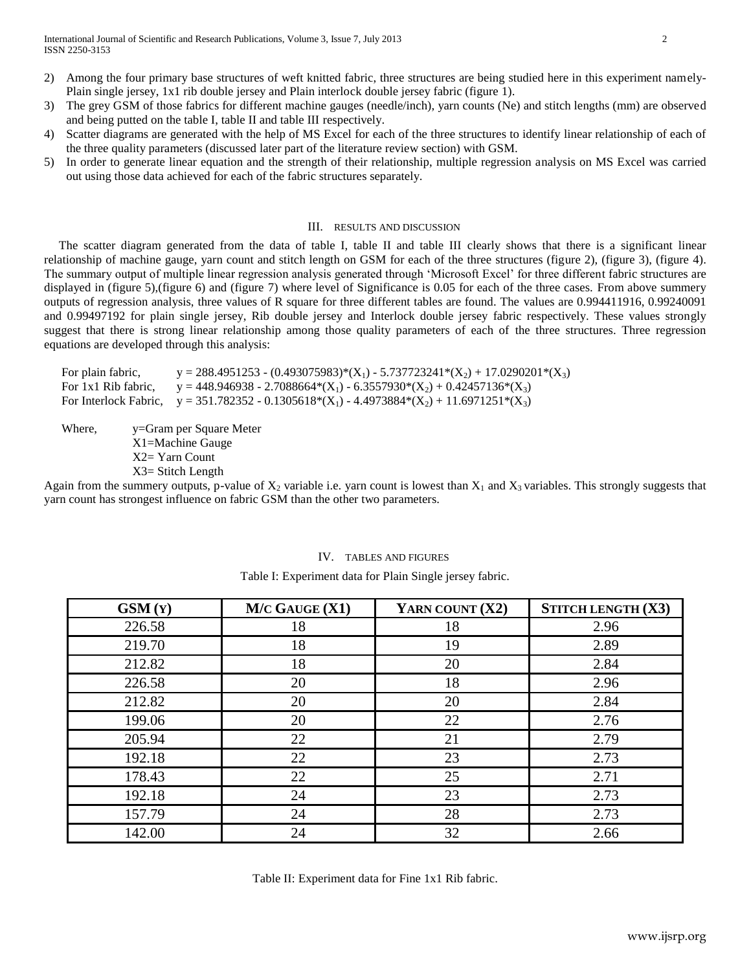- 2) Among the four primary base structures of weft knitted fabric, three structures are being studied here in this experiment namely-Plain single jersey, 1x1 rib double jersey and Plain interlock double jersey fabric (figure 1).
- 3) The grey GSM of those fabrics for different machine gauges (needle/inch), yarn counts (Ne) and stitch lengths (mm) are observed and being putted on the table I, table II and table III respectively.
- 4) Scatter diagrams are generated with the help of MS Excel for each of the three structures to identify linear relationship of each of the three quality parameters (discussed later part of the literature review section) with GSM.
- 5) In order to generate linear equation and the strength of their relationship, multiple regression analysis on MS Excel was carried out using those data achieved for each of the fabric structures separately.

# III. RESULTS AND DISCUSSION

 The scatter diagram generated from the data of table I, table II and table III clearly shows that there is a significant linear relationship of machine gauge, yarn count and stitch length on GSM for each of the three structures (figure 2), (figure 3), (figure 4). The summary output of multiple linear regression analysis generated through "Microsoft Excel" for three different fabric structures are displayed in (figure 5),(figure 6) and (figure 7) where level of Significance is 0.05 for each of the three cases. From above summery outputs of regression analysis, three values of R square for three different tables are found. The values are 0.994411916, 0.99240091 and 0.99497192 for plain single jersey, Rib double jersey and Interlock double jersey fabric respectively. These values strongly suggest that there is strong linear relationship among those quality parameters of each of the three structures. Three regression equations are developed through this analysis:

| For plain fabric,   | y = 288.4951253 - (0.493075983)*(X <sub>1</sub> ) - 5.737723241*(X <sub>2</sub> ) + 17.0290201*(X <sub>3</sub> ) |
|---------------------|------------------------------------------------------------------------------------------------------------------|
| For 1x1 Rib fabric. | y = 448.946938 - 2.7088664*(X <sub>1</sub> ) - 6.3557930*(X <sub>2</sub> ) + 0.42457136*(X <sub>3</sub> )        |
|                     | For Interlock Fabric, $y = 351.782352 - 0.1305618*(X_1) - 4.4973884*(X_2) + 11.6971251*(X_3)$                    |

Where,  $y = Gram$  per Square Meter X1=Machine Gauge X2= Yarn Count X3= Stitch Length

Again from the summery outputs, p-value of  $X_2$  variable i.e. yarn count is lowest than  $X_1$  and  $X_3$  variables. This strongly suggests that yarn count has strongest influence on fabric GSM than the other two parameters.

| GSM(Y) | $M/C$ GAUGE $(X1)$ | YARN COUNT (X2) | STITCH LENGTH (X3) |
|--------|--------------------|-----------------|--------------------|
| 226.58 | 18                 | 18              | 2.96               |
| 219.70 | 18                 | 19              | 2.89               |
| 212.82 | 18                 | 20              | 2.84               |
| 226.58 | 20                 | 18              | 2.96               |
| 212.82 | 20                 | 20              | 2.84               |
| 199.06 | 20                 | 22              | 2.76               |
| 205.94 | 22                 | 21              | 2.79               |
| 192.18 | 22                 | 23              | 2.73               |
| 178.43 | 22                 | 25              | 2.71               |
| 192.18 | 24                 | 23              | 2.73               |
| 157.79 | 24                 | 28              | 2.73               |
| 142.00 | 24                 | 32              | 2.66               |

## IV. TABLES AND FIGURES

Table I: Experiment data for Plain Single jersey fabric.

Table II: Experiment data for Fine 1x1 Rib fabric.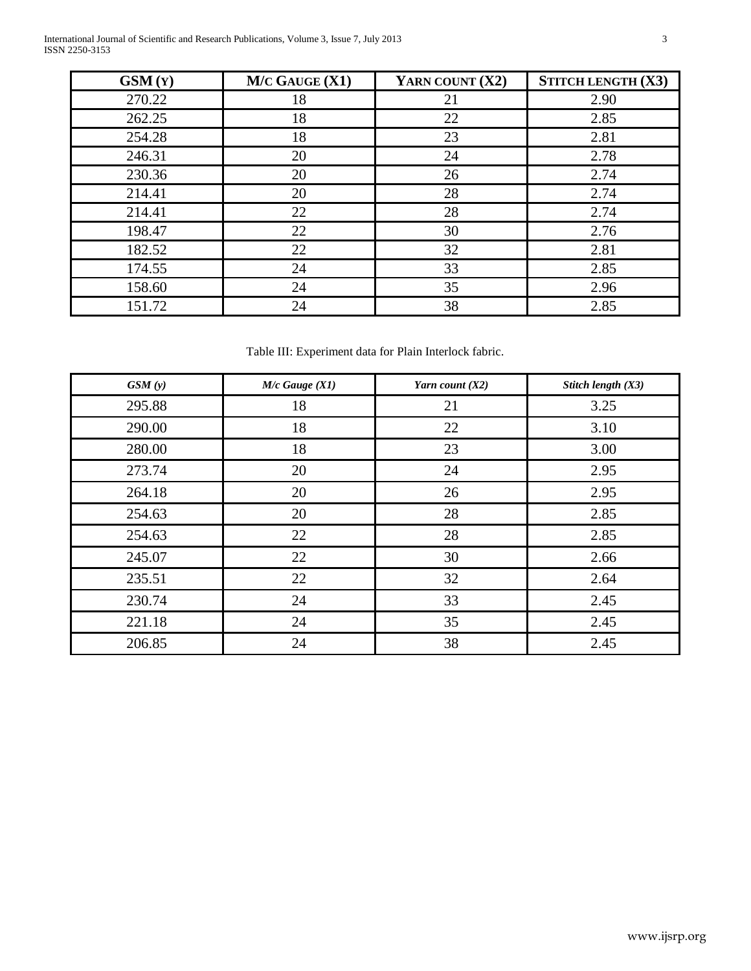International Journal of Scientific and Research Publications, Volume 3, Issue 7, July 2013 3 ISSN 2250-3153

| $\text{GSM}(Y)$ | $M/C$ GAUGE $(X1)$ | YARN COUNT (X2) | STITCH LENGTH (X3) |
|-----------------|--------------------|-----------------|--------------------|
| 270.22          | 18                 | 21              | 2.90               |
| 262.25          | 18                 | 22              | 2.85               |
| 254.28          | 18                 | 23              | 2.81               |
| 246.31          | 20                 | 24              | 2.78               |
| 230.36          | 20                 | 26              | 2.74               |
| 214.41          | 20                 | 28              | 2.74               |
| 214.41          | 22                 | 28              | 2.74               |
| 198.47          | 22                 | 30              | 2.76               |
| 182.52          | 22                 | 32              | 2.81               |
| 174.55          | 24                 | 33              | 2.85               |
| 158.60          | 24                 | 35              | 2.96               |
| 151.72          | 24                 | 38              | 2.85               |

Table III: Experiment data for Plain Interlock fabric.

| GSM(y) | $M/c$ Gauge $(X1)$ | Yarn count $(X2)$ | Stitch length (X3) |
|--------|--------------------|-------------------|--------------------|
| 295.88 | 18                 | 21                | 3.25               |
| 290.00 | 18                 | 22                | 3.10               |
| 280.00 | 18                 | 23                | 3.00               |
| 273.74 | 20                 | 24                | 2.95               |
| 264.18 | 20                 | 26                | 2.95               |
| 254.63 | 20                 | 28                | 2.85               |
| 254.63 | 22                 | 28                | 2.85               |
| 245.07 | 22                 | 30                | 2.66               |
| 235.51 | 22                 | 32                | 2.64               |
| 230.74 | 24                 | 33                | 2.45               |
| 221.18 | 24                 | 35                | 2.45               |
| 206.85 | 24                 | 38                | 2.45               |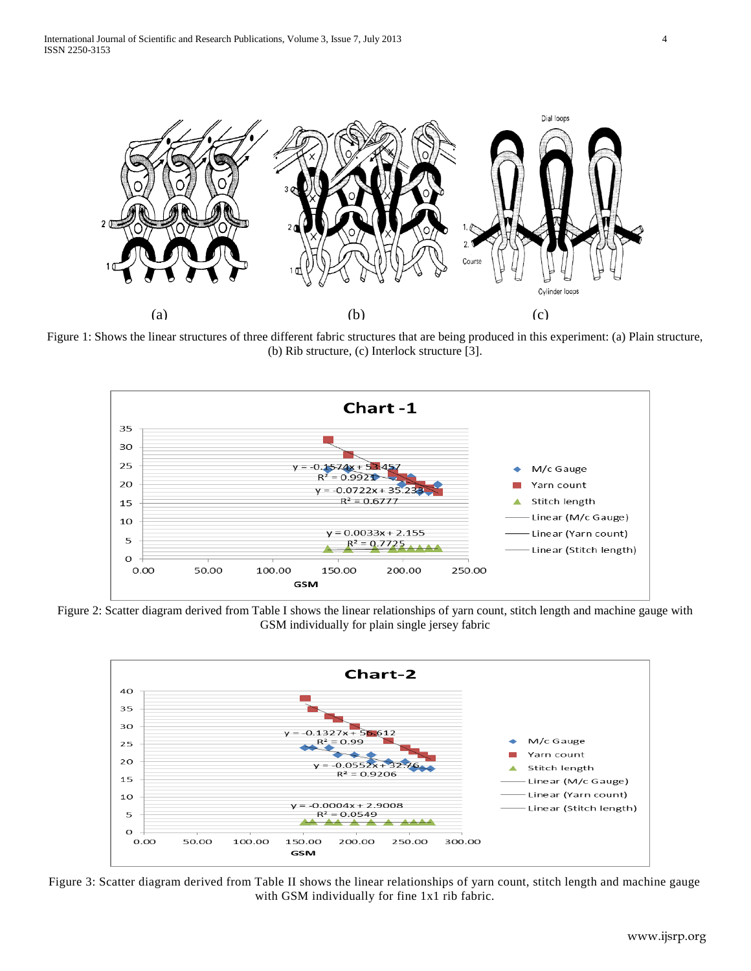

Figure 1: Shows the linear structures of three different fabric structures that are being produced in this experiment: (a) Plain structure, (b) Rib structure, (c) Interlock structure [3].



Figure 2: Scatter diagram derived from Table I shows the linear relationships of yarn count, stitch length and machine gauge with GSM individually for plain single jersey fabric



Figure 3: Scatter diagram derived from Table II shows the linear relationships of yarn count, stitch length and machine gauge with GSM individually for fine 1x1 rib fabric.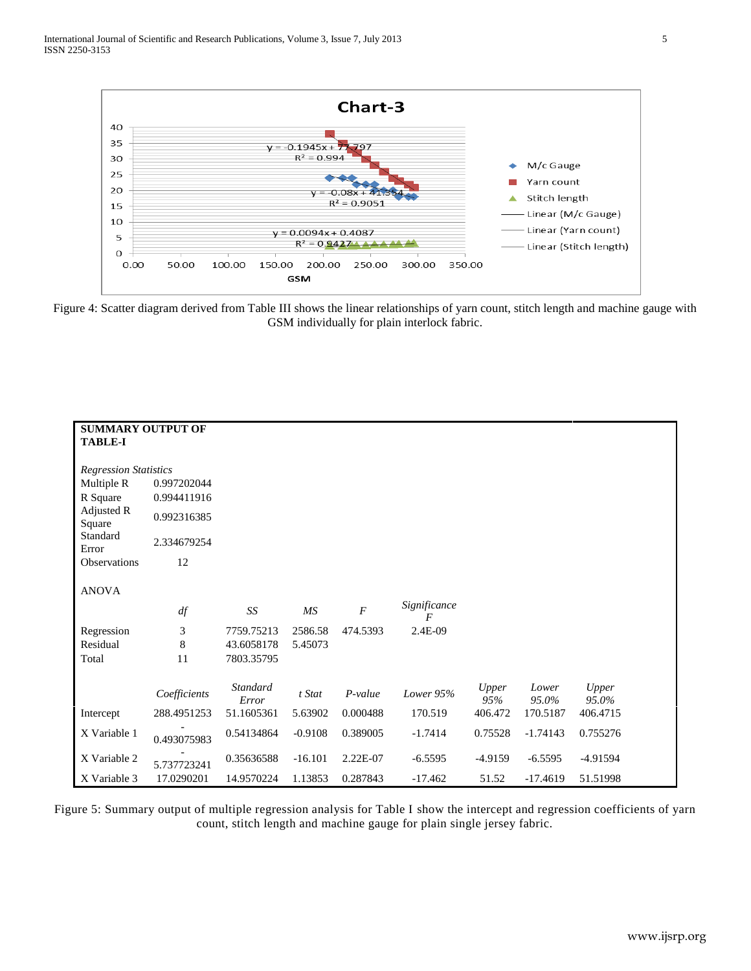

Figure 4: Scatter diagram derived from Table III shows the linear relationships of yarn count, stitch length and machine gauge with GSM individually for plain interlock fabric.

| <b>SUMMARY OUTPUT OF</b><br><b>TABLE-I</b> |              |                          |           |                  |                                |              |                |                |  |
|--------------------------------------------|--------------|--------------------------|-----------|------------------|--------------------------------|--------------|----------------|----------------|--|
|                                            |              |                          |           |                  |                                |              |                |                |  |
| <b>Regression Statistics</b>               |              |                          |           |                  |                                |              |                |                |  |
| Multiple R                                 | 0.997202044  |                          |           |                  |                                |              |                |                |  |
| R Square                                   | 0.994411916  |                          |           |                  |                                |              |                |                |  |
| Adjusted R<br>Square                       | 0.992316385  |                          |           |                  |                                |              |                |                |  |
| Standard<br>Error                          | 2.334679254  |                          |           |                  |                                |              |                |                |  |
| <b>Observations</b>                        | 12           |                          |           |                  |                                |              |                |                |  |
| <b>ANOVA</b>                               |              |                          |           |                  |                                |              |                |                |  |
|                                            | df           | SS                       | MS        | $\boldsymbol{F}$ | Significance<br>$\overline{F}$ |              |                |                |  |
| Regression                                 | 3            | 7759.75213               | 2586.58   | 474.5393         | 2.4E-09                        |              |                |                |  |
| Residual                                   | 8            | 43.6058178               | 5.45073   |                  |                                |              |                |                |  |
| Total                                      | 11           | 7803.35795               |           |                  |                                |              |                |                |  |
|                                            | Coefficients | <b>Standard</b><br>Error | t Stat    | $P-value$        | Lower 95%                      | Upper<br>95% | Lower<br>95.0% | Upper<br>95.0% |  |
| Intercept                                  | 288.4951253  | 51.1605361               | 5.63902   | 0.000488         | 170.519                        | 406.472      | 170.5187       | 406.4715       |  |
| X Variable 1                               | 0.493075983  | 0.54134864               | $-0.9108$ | 0.389005         | $-1.7414$                      | 0.75528      | $-1.74143$     | 0.755276       |  |
| X Variable 2                               | 5.737723241  | 0.35636588               | $-16.101$ | 2.22E-07         | $-6.5595$                      | $-4.9159$    | $-6.5595$      | $-4.91594$     |  |
| X Variable 3                               | 17.0290201   | 14.9570224               | 1.13853   | 0.287843         | $-17.462$                      | 51.52        | $-17.4619$     | 51.51998       |  |

Figure 5: Summary output of multiple regression analysis for Table I show the intercept and regression coefficients of yarn count, stitch length and machine gauge for plain single jersey fabric.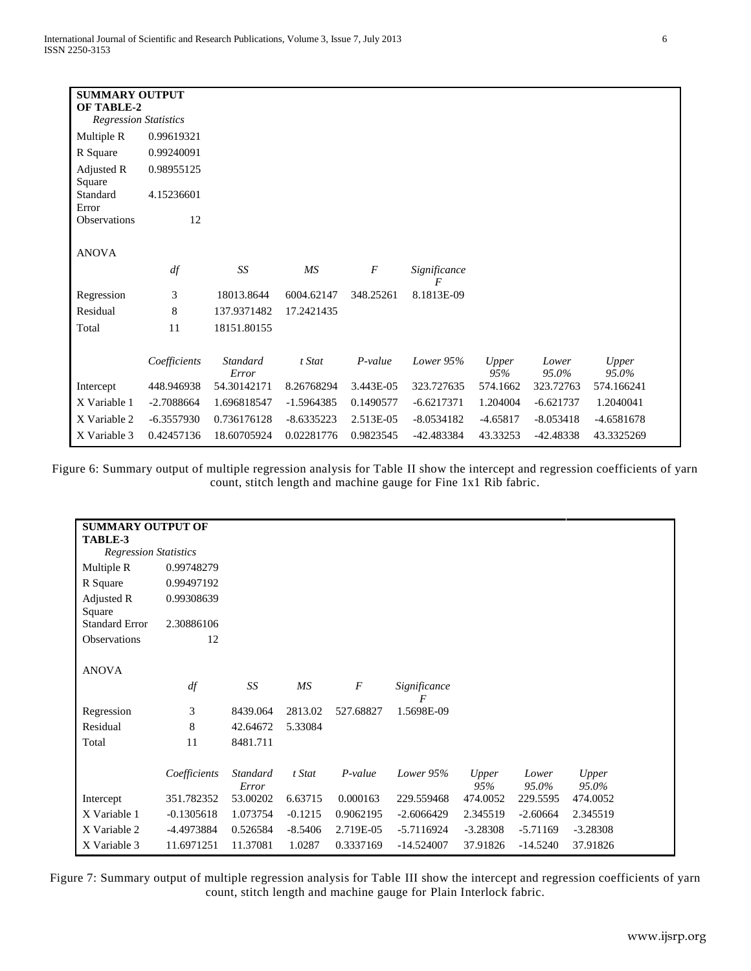| <b>SUMMARY OUTPUT</b><br><b>OF TABLE-2</b> |              |                          |              |                  |                   |              |                |                |  |
|--------------------------------------------|--------------|--------------------------|--------------|------------------|-------------------|--------------|----------------|----------------|--|
| <b>Regression Statistics</b>               |              |                          |              |                  |                   |              |                |                |  |
| Multiple R                                 | 0.99619321   |                          |              |                  |                   |              |                |                |  |
| R Square                                   | 0.99240091   |                          |              |                  |                   |              |                |                |  |
| Adjusted R<br>Square                       | 0.98955125   |                          |              |                  |                   |              |                |                |  |
| Standard                                   | 4.15236601   |                          |              |                  |                   |              |                |                |  |
| Error<br><b>Observations</b>               | 12           |                          |              |                  |                   |              |                |                |  |
|                                            |              |                          |              |                  |                   |              |                |                |  |
| <b>ANOVA</b>                               |              |                          |              |                  |                   |              |                |                |  |
|                                            | df           | SS                       | MS           | $\boldsymbol{F}$ | Significance<br>F |              |                |                |  |
| Regression                                 | 3            | 18013.8644               | 6004.62147   | 348.25261        | 8.1813E-09        |              |                |                |  |
| Residual                                   | 8            | 137.9371482              | 17.2421435   |                  |                   |              |                |                |  |
| Total                                      | 11           | 18151.80155              |              |                  |                   |              |                |                |  |
|                                            |              |                          |              |                  |                   |              |                |                |  |
|                                            | Coefficients | <b>Standard</b><br>Error | t Stat       | $P-value$        | Lower $95%$       | Upper<br>95% | Lower<br>95.0% | Upper<br>95.0% |  |
| Intercept                                  | 448.946938   | 54.30142171              | 8.26768294   | 3.443E-05        | 323.727635        | 574.1662     | 323.72763      | 574.166241     |  |
| X Variable 1                               | $-2.7088664$ | 1.696818547              | $-1.5964385$ | 0.1490577        | $-6.6217371$      | 1.204004     | $-6.621737$    | 1.2040041      |  |
| X Variable 2                               | $-6.3557930$ | 0.736176128              | $-8.6335223$ | 2.513E-05        | $-8.0534182$      | $-4.65817$   | $-8.053418$    | -4.6581678     |  |
| X Variable 3                               | 0.42457136   | 18.60705924              | 0.02281776   | 0.9823545        | -42.483384        | 43.33253     | -42.48338      | 43.3325269     |  |

Figure 6: Summary output of multiple regression analysis for Table II show the intercept and regression coefficients of yarn count, stitch length and machine gauge for Fine 1x1 Rib fabric.

| <b>SUMMARY OUTPUT OF</b><br>TABLE-3 |              |                   |           |                |                   |              |                |                |
|-------------------------------------|--------------|-------------------|-----------|----------------|-------------------|--------------|----------------|----------------|
| <b>Regression Statistics</b>        |              |                   |           |                |                   |              |                |                |
|                                     |              |                   |           |                |                   |              |                |                |
| Multiple R                          | 0.99748279   |                   |           |                |                   |              |                |                |
| R Square                            | 0.99497192   |                   |           |                |                   |              |                |                |
| Adjusted R<br>Square                | 0.99308639   |                   |           |                |                   |              |                |                |
| <b>Standard Error</b>               | 2.30886106   |                   |           |                |                   |              |                |                |
| Observations                        | 12           |                   |           |                |                   |              |                |                |
|                                     |              |                   |           |                |                   |              |                |                |
| <b>ANOVA</b>                        |              |                   |           |                |                   |              |                |                |
|                                     | df           | SS                | MS        | $\overline{F}$ | Significance<br>F |              |                |                |
| Regression                          | 3            | 8439.064          | 2813.02   | 527.68827      | 1.5698E-09        |              |                |                |
| Residual                            | 8            | 42.64672          | 5.33084   |                |                   |              |                |                |
| Total                               | 11           | 8481.711          |           |                |                   |              |                |                |
|                                     |              |                   |           |                |                   |              |                |                |
|                                     | Coefficients | Standard<br>Error | t Stat    | $P-value$      | Lower $95%$       | Upper<br>95% | Lower<br>95.0% | Upper<br>95.0% |
| Intercept                           | 351.782352   | 53.00202          | 6.63715   | 0.000163       | 229.559468        | 474.0052     | 229.5595       | 474.0052       |
| X Variable 1                        | $-0.1305618$ | 1.073754          | $-0.1215$ | 0.9062195      | $-2.6066429$      | 2.345519     | $-2.60664$     | 2.345519       |
| X Variable 2                        | -4.4973884   | 0.526584          | $-8.5406$ | 2.719E-05      | $-5.7116924$      | $-3.28308$   | $-5.71169$     | $-3.28308$     |
|                                     |              |                   |           |                |                   |              |                |                |
| X Variable 3                        | 11.6971251   | 11.37081          | 1.0287    | 0.3337169      | $-14.524007$      | 37.91826     | $-14.5240$     | 37.91826       |

Figure 7: Summary output of multiple regression analysis for Table III show the intercept and regression coefficients of yarn count, stitch length and machine gauge for Plain Interlock fabric.